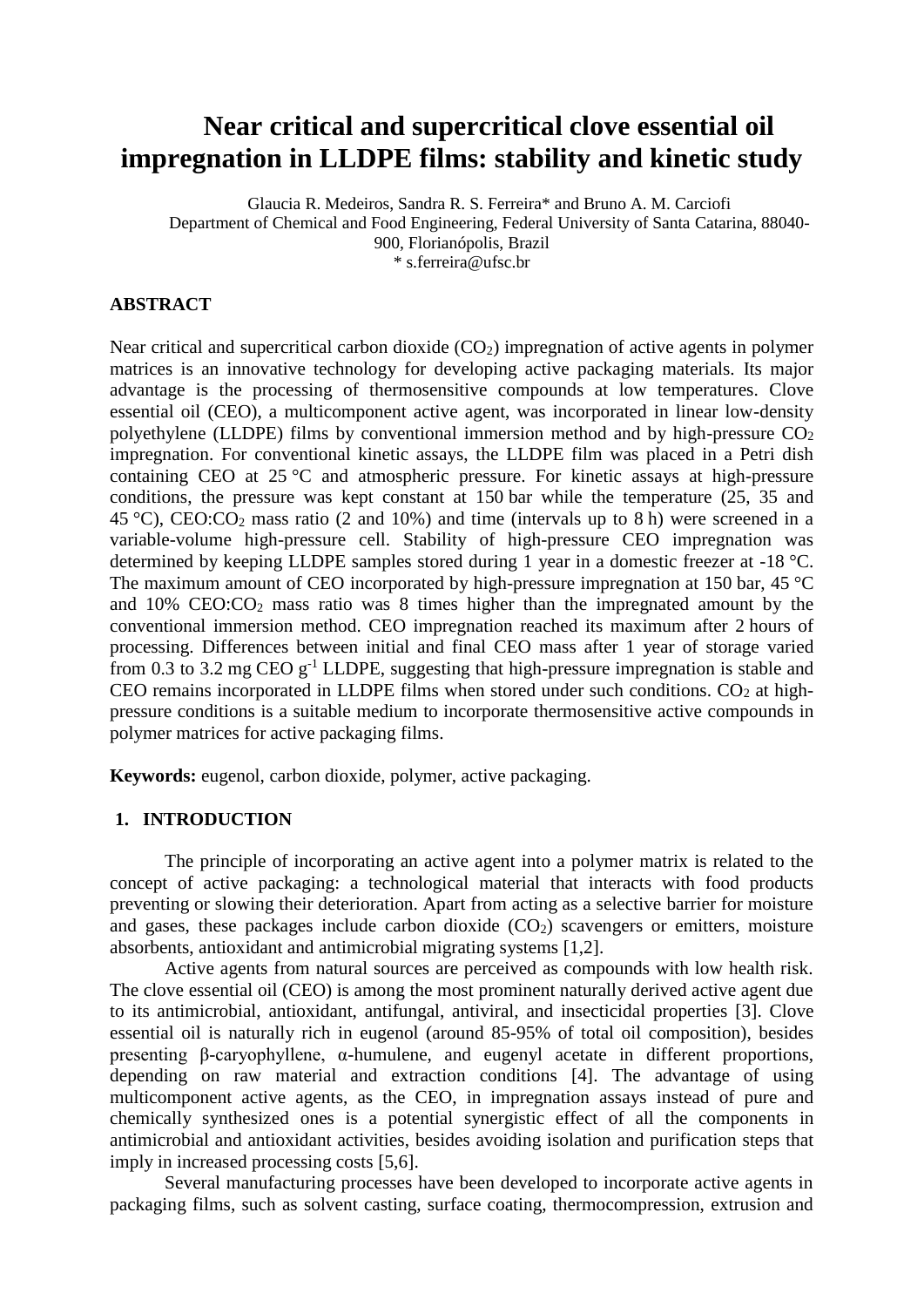# **Near critical and supercritical clove essential oil impregnation in LLDPE films: stability and kinetic study**

Glaucia R. Medeiros, Sandra R. S. Ferreira\* and Bruno A. M. Carciofi Department of Chemical and Food Engineering, Federal University of Santa Catarina, 88040- 900, Florianópolis, Brazil \* s.ferreira@ufsc.br

## **ABSTRACT**

Near critical and supercritical carbon dioxide  $(CO_2)$  impregnation of active agents in polymer matrices is an innovative technology for developing active packaging materials. Its major advantage is the processing of thermosensitive compounds at low temperatures. Clove essential oil (CEO), a multicomponent active agent, was incorporated in linear low-density polyethylene (LLDPE) films by conventional immersion method and by high-pressure  $CO<sub>2</sub>$ impregnation. For conventional kinetic assays, the LLDPE film was placed in a Petri dish containing CEO at 25 °C and atmospheric pressure. For kinetic assays at high-pressure conditions, the pressure was kept constant at 150 bar while the temperature (25, 35 and 45 °C), CEO:CO<sup>2</sup> mass ratio (2 and 10%) and time (intervals up to 8 h) were screened in a variable-volume high-pressure cell. Stability of high-pressure CEO impregnation was determined by keeping LLDPE samples stored during 1 year in a domestic freezer at -18 °C. The maximum amount of CEO incorporated by high-pressure impregnation at 150 bar, 45 °C and  $10\%$  CEO:CO<sub>2</sub> mass ratio was 8 times higher than the impregnated amount by the conventional immersion method. CEO impregnation reached its maximum after 2 hours of processing. Differences between initial and final CEO mass after 1 year of storage varied from 0.3 to 3.2 mg CEO  $g^{-1}$  LLDPE, suggesting that high-pressure impregnation is stable and CEO remains incorporated in LLDPE films when stored under such conditions.  $CO<sub>2</sub>$  at highpressure conditions is a suitable medium to incorporate thermosensitive active compounds in polymer matrices for active packaging films.

**Keywords:** eugenol, carbon dioxide, polymer, active packaging.

# **1. INTRODUCTION**

The principle of incorporating an active agent into a polymer matrix is related to the concept of active packaging: a technological material that interacts with food products preventing or slowing their deterioration. Apart from acting as a selective barrier for moisture and gases, these packages include carbon dioxide  $(CO<sub>2</sub>)$  scavengers or emitters, moisture absorbents, antioxidant and antimicrobial migrating systems [1,2].

Active agents from natural sources are perceived as compounds with low health risk. The clove essential oil (CEO) is among the most prominent naturally derived active agent due to its antimicrobial, antioxidant, antifungal, antiviral, and insecticidal properties [3]. Clove essential oil is naturally rich in eugenol (around 85-95% of total oil composition), besides presenting β-caryophyllene, α-humulene, and eugenyl acetate in different proportions, depending on raw material and extraction conditions [4]. The advantage of using multicomponent active agents, as the CEO, in impregnation assays instead of pure and chemically synthesized ones is a potential synergistic effect of all the components in antimicrobial and antioxidant activities, besides avoiding isolation and purification steps that imply in increased processing costs [5,6].

Several manufacturing processes have been developed to incorporate active agents in packaging films, such as solvent casting, surface coating, thermocompression, extrusion and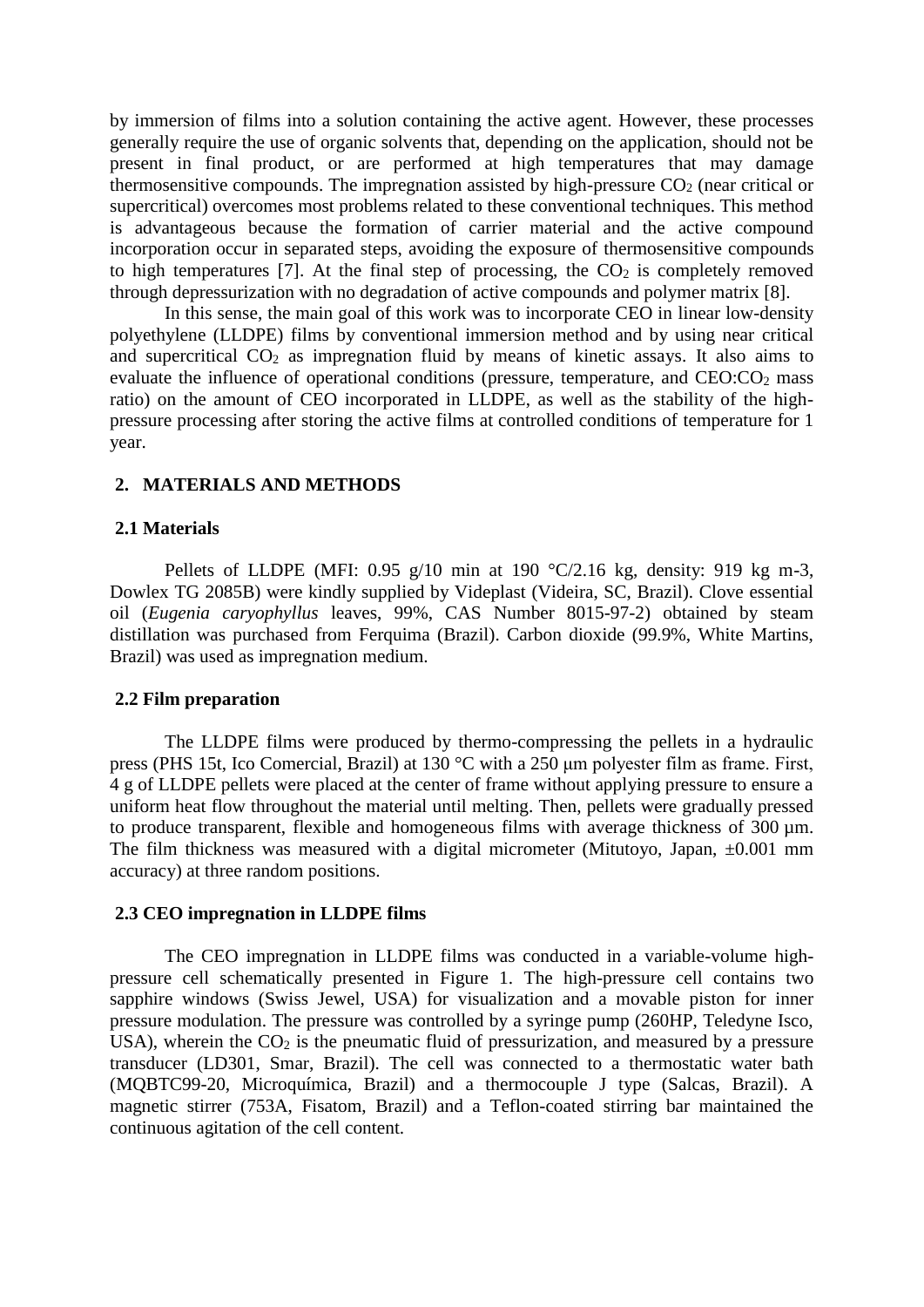by immersion of films into a solution containing the active agent. However, these processes generally require the use of organic solvents that, depending on the application, should not be present in final product, or are performed at high temperatures that may damage thermosensitive compounds. The impregnation assisted by high-pressure  $CO<sub>2</sub>$  (near critical or supercritical) overcomes most problems related to these conventional techniques. This method is advantageous because the formation of carrier material and the active compound incorporation occur in separated steps, avoiding the exposure of thermosensitive compounds to high temperatures  $[7]$ . At the final step of processing, the  $CO<sub>2</sub>$  is completely removed through depressurization with no degradation of active compounds and polymer matrix [8].

In this sense, the main goal of this work was to incorporate CEO in linear low-density polyethylene (LLDPE) films by conventional immersion method and by using near critical and supercritical  $CO<sub>2</sub>$  as impregnation fluid by means of kinetic assays. It also aims to evaluate the influence of operational conditions (pressure, temperature, and  $CEO:CO<sub>2</sub>$  mass ratio) on the amount of CEO incorporated in LLDPE, as well as the stability of the highpressure processing after storing the active films at controlled conditions of temperature for 1 year.

## **2. MATERIALS AND METHODS**

#### **2.1 Materials**

Pellets of LLDPE (MFI: 0.95 g/10 min at 190  $\degree$ C/2.16 kg, density: 919 kg m-3, Dowlex TG 2085B) were kindly supplied by Videplast (Videira, SC, Brazil). Clove essential oil (*Eugenia caryophyllus* leaves, 99%, CAS Number 8015-97-2) obtained by steam distillation was purchased from Ferquima (Brazil). Carbon dioxide (99.9%, White Martins, Brazil) was used as impregnation medium.

#### **2.2 Film preparation**

The LLDPE films were produced by thermo-compressing the pellets in a hydraulic press (PHS 15t, Ico Comercial, Brazil) at 130 °C with a 250 μm polyester film as frame. First, 4 g of LLDPE pellets were placed at the center of frame without applying pressure to ensure a uniform heat flow throughout the material until melting. Then, pellets were gradually pressed to produce transparent, flexible and homogeneous films with average thickness of 300 µm. The film thickness was measured with a digital micrometer (Mitutoyo, Japan,  $\pm 0.001$  mm accuracy) at three random positions.

#### **2.3 CEO impregnation in LLDPE films**

The CEO impregnation in LLDPE films was conducted in a variable-volume highpressure cell schematically presented in Figure 1. The high-pressure cell contains two sapphire windows (Swiss Jewel, USA) for visualization and a movable piston for inner pressure modulation. The pressure was controlled by a syringe pump (260HP, Teledyne Isco, USA), wherein the  $CO<sub>2</sub>$  is the pneumatic fluid of pressurization, and measured by a pressure transducer (LD301, Smar, Brazil). The cell was connected to a thermostatic water bath (MQBTC99-20, Microquímica, Brazil) and a thermocouple J type (Salcas, Brazil). A magnetic stirrer (753A, Fisatom, Brazil) and a Teflon-coated stirring bar maintained the continuous agitation of the cell content.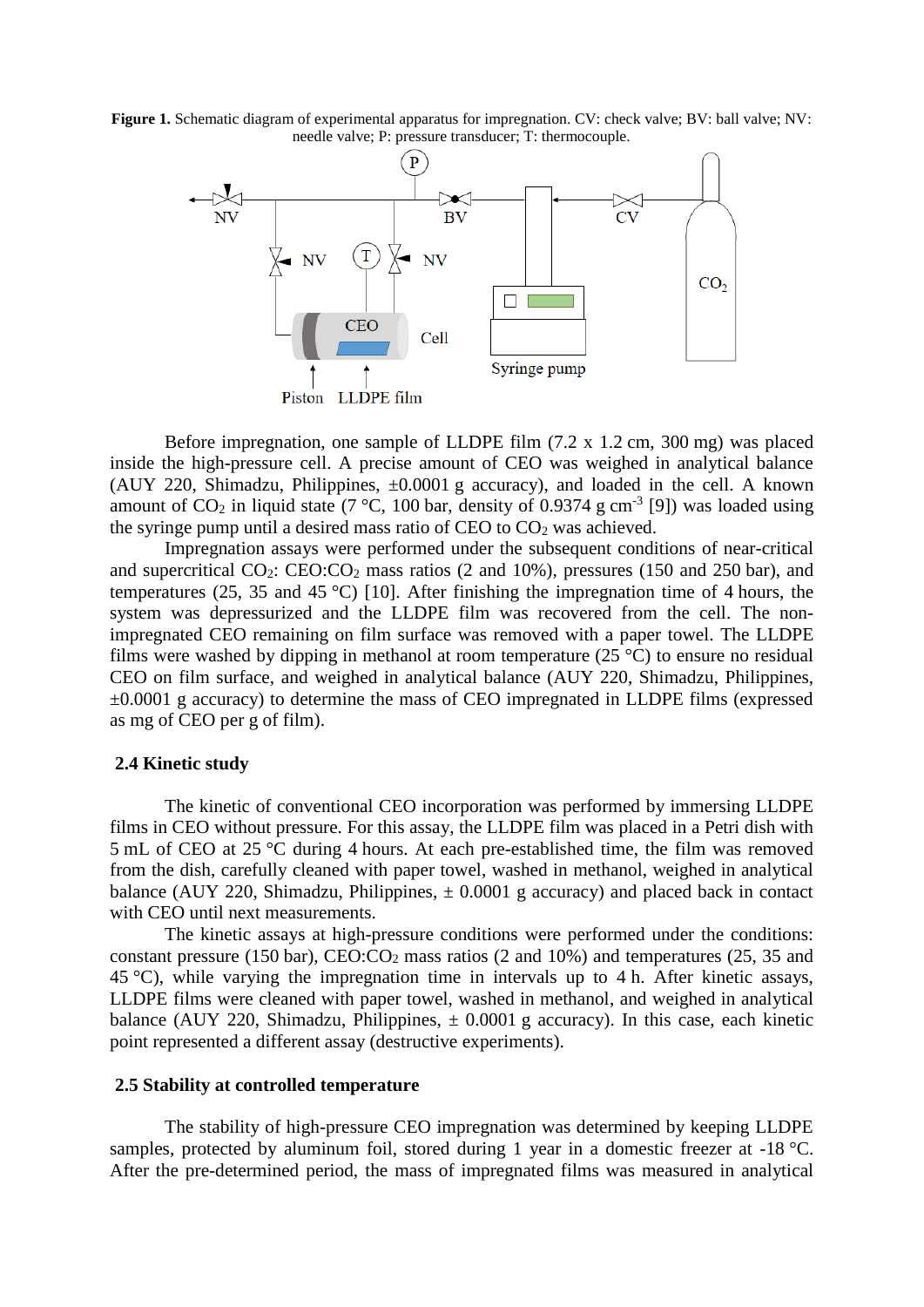**Figure 1.** Schematic diagram of experimental apparatus for impregnation. CV: check valve; BV: ball valve; NV: needle valve; P: pressure transducer; T: thermocouple.



Before impregnation, one sample of LLDPE film (7.2 x 1.2 cm, 300 mg) was placed inside the high-pressure cell. A precise amount of CEO was weighed in analytical balance (AUY 220, Shimadzu, Philippines, ±0.0001 g accuracy), and loaded in the cell. A known amount of  $CO_2$  in liquid state (7 °C, 100 bar, density of 0.9374 g cm<sup>-3</sup> [9]) was loaded using the syringe pump until a desired mass ratio of CEO to  $CO<sub>2</sub>$  was achieved.

Impregnation assays were performed under the subsequent conditions of near-critical and supercritical  $CO_2$ :  $CEO:CO_2$  mass ratios (2 and 10%), pressures (150 and 250 bar), and temperatures (25, 35 and 45 °C) [10]. After finishing the impregnation time of 4 hours, the system was depressurized and the LLDPE film was recovered from the cell. The nonimpregnated CEO remaining on film surface was removed with a paper towel. The LLDPE films were washed by dipping in methanol at room temperature  $(25 \degree C)$  to ensure no residual CEO on film surface, and weighed in analytical balance (AUY 220, Shimadzu, Philippines,  $\pm 0.0001$  g accuracy) to determine the mass of CEO impregnated in LLDPE films (expressed as mg of CEO per g of film).

#### **2.4 Kinetic study**

The kinetic of conventional CEO incorporation was performed by immersing LLDPE films in CEO without pressure. For this assay, the LLDPE film was placed in a Petri dish with 5 mL of CEO at 25 °C during 4 hours. At each pre-established time, the film was removed from the dish, carefully cleaned with paper towel, washed in methanol, weighed in analytical balance (AUY 220, Shimadzu, Philippines,  $\pm$  0.0001 g accuracy) and placed back in contact with CEO until next measurements.

The kinetic assays at high-pressure conditions were performed under the conditions: constant pressure (150 bar), CEO:CO<sup>2</sup> mass ratios (2 and 10%) and temperatures (25, 35 and 45 °C), while varying the impregnation time in intervals up to 4 h. After kinetic assays, LLDPE films were cleaned with paper towel, washed in methanol, and weighed in analytical balance (AUY 220, Shimadzu, Philippines,  $\pm$  0.0001 g accuracy). In this case, each kinetic point represented a different assay (destructive experiments).

#### **2.5 Stability at controlled temperature**

The stability of high-pressure CEO impregnation was determined by keeping LLDPE samples, protected by aluminum foil, stored during 1 year in a domestic freezer at -18 °C. After the pre-determined period, the mass of impregnated films was measured in analytical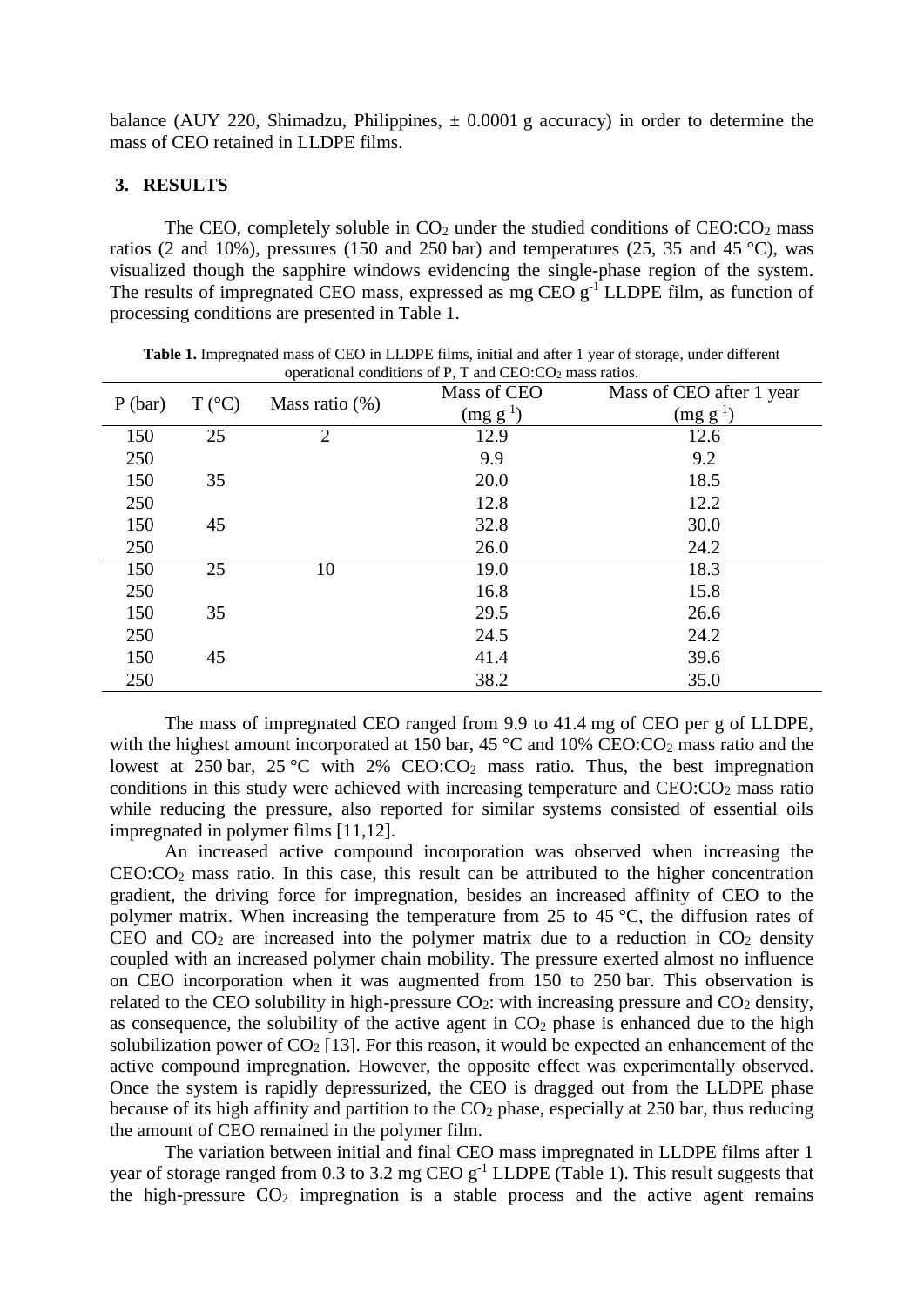balance (AUY 220, Shimadzu, Philippines,  $\pm$  0.0001 g accuracy) in order to determine the mass of CEO retained in LLDPE films.

## **3. RESULTS**

The CEO, completely soluble in  $CO<sub>2</sub>$  under the studied conditions of  $CEO:CO<sub>2</sub>$  mass ratios (2 and 10%), pressures (150 and 250 bar) and temperatures (25, 35 and 45 °C), was visualized though the sapphire windows evidencing the single-phase region of the system. The results of impregnated CEO mass, expressed as mg CEO  $g^{-1}$  LLDPE film, as function of processing conditions are presented in Table 1.

| P(bar) | $T (^{\circ}C)$ | Mass ratio $(\%)$ | Mass of CEO                     | Mass of CEO after 1 year         |
|--------|-----------------|-------------------|---------------------------------|----------------------------------|
|        |                 |                   | $\left(\text{mg g}^{-1}\right)$ | $\left(\text{mg } g^{-1}\right)$ |
| 150    | 25              | $\overline{2}$    | 12.9                            | 12.6                             |
| 250    |                 |                   | 9.9                             | 9.2                              |
| 150    | 35              |                   | 20.0                            | 18.5                             |
| 250    |                 |                   | 12.8                            | 12.2                             |
| 150    | 45              |                   | 32.8                            | 30.0                             |
| 250    |                 |                   | 26.0                            | 24.2                             |
| 150    | 25              | 10                | 19.0                            | 18.3                             |
| 250    |                 |                   | 16.8                            | 15.8                             |
| 150    | 35              |                   | 29.5                            | 26.6                             |
| 250    |                 |                   | 24.5                            | 24.2                             |
| 150    | 45              |                   | 41.4                            | 39.6                             |
| 250    |                 |                   | 38.2                            | 35.0                             |

**Table 1.** Impregnated mass of CEO in LLDPE films, initial and after 1 year of storage, under different operational conditions of P, T and CEO: $CO<sub>2</sub>$  mass ratios.

The mass of impregnated CEO ranged from 9.9 to 41.4 mg of CEO per g of LLDPE, with the highest amount incorporated at 150 bar,  $45^{\circ}$ C and  $10\%$  CEO:CO<sub>2</sub> mass ratio and the lowest at 250 bar, 25 °C with 2%  $CEO:CO<sub>2</sub>$  mass ratio. Thus, the best impregnation conditions in this study were achieved with increasing temperature and  $CEO:CO<sub>2</sub>$  mass ratio while reducing the pressure, also reported for similar systems consisted of essential oils impregnated in polymer films [11,12].

An increased active compound incorporation was observed when increasing the  $CEO:CO<sub>2</sub>$  mass ratio. In this case, this result can be attributed to the higher concentration gradient, the driving force for impregnation, besides an increased affinity of CEO to the polymer matrix. When increasing the temperature from 25 to 45 °C, the diffusion rates of CEO and  $CO<sub>2</sub>$  are increased into the polymer matrix due to a reduction in  $CO<sub>2</sub>$  density coupled with an increased polymer chain mobility. The pressure exerted almost no influence on CEO incorporation when it was augmented from 150 to 250 bar. This observation is related to the CEO solubility in high-pressure  $CO<sub>2</sub>$ : with increasing pressure and  $CO<sub>2</sub>$  density, as consequence, the solubility of the active agent in  $CO<sub>2</sub>$  phase is enhanced due to the high solubilization power of  $CO<sub>2</sub>$  [13]. For this reason, it would be expected an enhancement of the active compound impregnation. However, the opposite effect was experimentally observed. Once the system is rapidly depressurized, the CEO is dragged out from the LLDPE phase because of its high affinity and partition to the  $CO<sub>2</sub>$  phase, especially at 250 bar, thus reducing the amount of CEO remained in the polymer film.

The variation between initial and final CEO mass impregnated in LLDPE films after 1 year of storage ranged from 0.3 to 3.2 mg CEO  $g^{-1}$  LLDPE (Table 1). This result suggests that the high-pressure  $CO<sub>2</sub>$  impregnation is a stable process and the active agent remains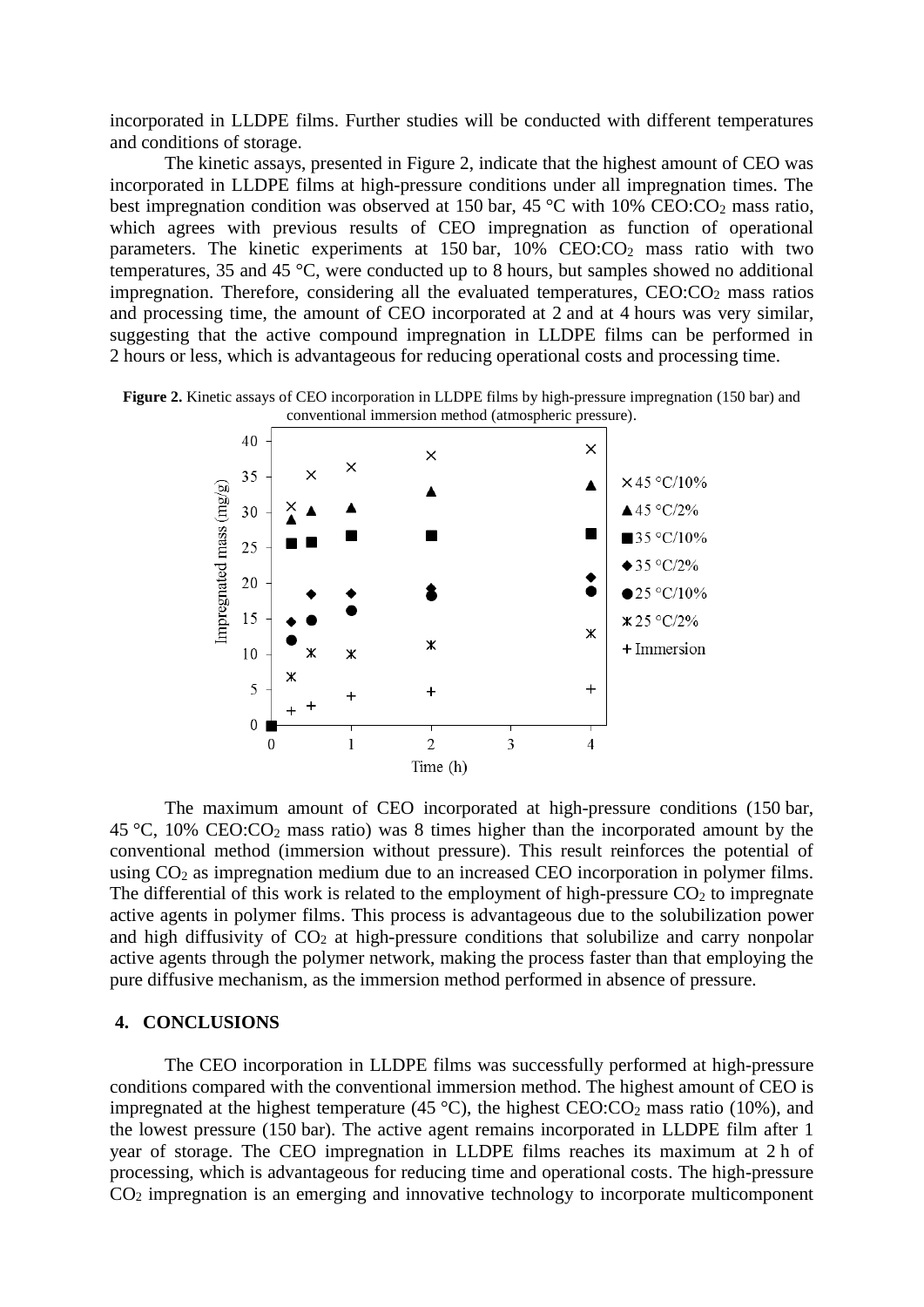incorporated in LLDPE films. Further studies will be conducted with different temperatures and conditions of storage.

The kinetic assays, presented in Figure 2, indicate that the highest amount of CEO was incorporated in LLDPE films at high-pressure conditions under all impregnation times. The best impregnation condition was observed at 150 bar, 45 °C with 10% CEO:CO<sub>2</sub> mass ratio, which agrees with previous results of CEO impregnation as function of operational parameters. The kinetic experiments at 150 bar, 10% CEO:CO<sub>2</sub> mass ratio with two temperatures, 35 and 45 °C, were conducted up to 8 hours, but samples showed no additional impregnation. Therefore, considering all the evaluated temperatures,  $CEO:CO<sub>2</sub>$  mass ratios and processing time, the amount of CEO incorporated at 2 and at 4 hours was very similar, suggesting that the active compound impregnation in LLDPE films can be performed in 2 hours or less, which is advantageous for reducing operational costs and processing time.

**Figure 2.** Kinetic assays of CEO incorporation in LLDPE films by high-pressure impregnation (150 bar) and conventional immersion method (atmospheric pressure).



The maximum amount of CEO incorporated at high-pressure conditions (150 bar, 45 °C, 10% CEO:CO<sup>2</sup> mass ratio) was 8 times higher than the incorporated amount by the conventional method (immersion without pressure). This result reinforces the potential of using CO<sub>2</sub> as impregnation medium due to an increased CEO incorporation in polymer films. The differential of this work is related to the employment of high-pressure  $CO<sub>2</sub>$  to impregnate active agents in polymer films. This process is advantageous due to the solubilization power and high diffusivity of  $CO<sub>2</sub>$  at high-pressure conditions that solubilize and carry nonpolar active agents through the polymer network, making the process faster than that employing the pure diffusive mechanism, as the immersion method performed in absence of pressure.

#### **4. CONCLUSIONS**

The CEO incorporation in LLDPE films was successfully performed at high-pressure conditions compared with the conventional immersion method. The highest amount of CEO is impregnated at the highest temperature (45 °C), the highest  $CEO:CO<sub>2</sub>$  mass ratio (10%), and the lowest pressure (150 bar). The active agent remains incorporated in LLDPE film after 1 year of storage. The CEO impregnation in LLDPE films reaches its maximum at 2 h of processing, which is advantageous for reducing time and operational costs. The high-pressure CO<sup>2</sup> impregnation is an emerging and innovative technology to incorporate multicomponent